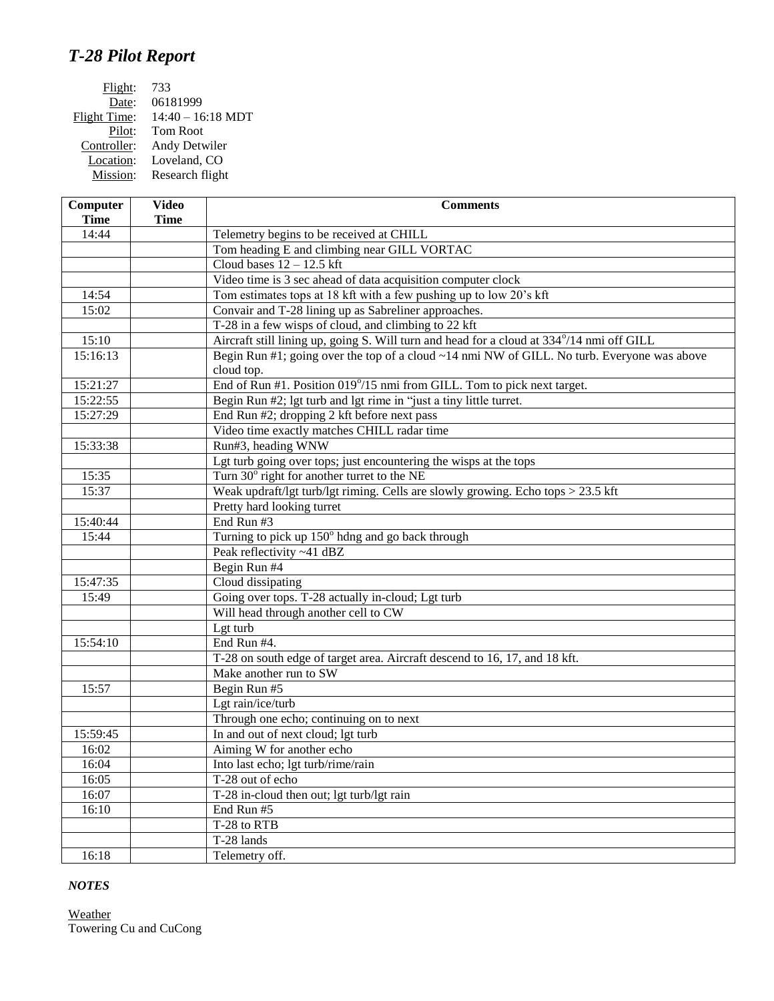## *T-28 Pilot Report*

| Flight:      | 733                 |
|--------------|---------------------|
| Date:        | 06181999            |
| Flight Time: | $14:40 - 16:18$ MDT |
| Pilot:       | Tom Root            |
| Controller:  | Andy Detwiler       |
| Location:    | Loveland, CO        |
| Mission:     | Research flight     |
|              |                     |

| Computer<br><b>Time</b> | <b>Video</b><br><b>Time</b> | <b>Comments</b>                                                                             |
|-------------------------|-----------------------------|---------------------------------------------------------------------------------------------|
| 14:44                   |                             | Telemetry begins to be received at CHILL                                                    |
|                         |                             | Tom heading E and climbing near GILL VORTAC                                                 |
|                         |                             | Cloud bases $12 - 12.5$ kft                                                                 |
|                         |                             | Video time is 3 sec ahead of data acquisition computer clock                                |
| 14:54                   |                             | Tom estimates tops at 18 kft with a few pushing up to low 20's kft                          |
| 15:02                   |                             | Convair and T-28 lining up as Sabreliner approaches.                                        |
|                         |                             | T-28 in a few wisps of cloud, and climbing to 22 kft                                        |
| 15:10                   |                             | Aircraft still lining up, going S. Will turn and head for a cloud at 334°/14 nmi off GILL   |
| 15:16:13                |                             | Begin Run #1; going over the top of a cloud ~14 nmi NW of GILL. No turb. Everyone was above |
|                         |                             | cloud top.                                                                                  |
| 15:21:27                |                             | End of Run #1. Position 019°/15 nmi from GILL. Tom to pick next target.                     |
| 15:22:55                |                             | Begin Run #2; lgt turb and lgt rime in "just a tiny little turret.                          |
| 15:27:29                |                             | End Run #2; dropping 2 kft before next pass                                                 |
|                         |                             | Video time exactly matches CHILL radar time                                                 |
| 15:33:38                |                             | Run#3, heading WNW                                                                          |
|                         |                             | Lgt turb going over tops; just encountering the wisps at the tops                           |
| 15:35                   |                             | Turn 30° right for another turret to the NE                                                 |
| 15:37                   |                             | Weak updraft/lgt turb/lgt riming. Cells are slowly growing. Echo tops $> 23.5$ kft          |
|                         |                             | Pretty hard looking turret                                                                  |
| 15:40:44                |                             | End Run #3                                                                                  |
| 15:44                   |                             | Turning to pick up 150° hdng and go back through                                            |
|                         |                             | Peak reflectivity ~41 dBZ                                                                   |
|                         |                             | Begin Run #4                                                                                |
| 15:47:35                |                             | Cloud dissipating                                                                           |
| 15:49                   |                             | Going over tops. T-28 actually in-cloud; Lgt turb                                           |
|                         |                             | Will head through another cell to CW                                                        |
|                         |                             | Lgt turb                                                                                    |
| 15:54:10                |                             | End Run #4.                                                                                 |
|                         |                             | T-28 on south edge of target area. Aircraft descend to 16, 17, and 18 kft.                  |
|                         |                             | Make another run to SW                                                                      |
| 15:57                   |                             | Begin Run #5                                                                                |
|                         |                             | Lgt rain/ice/turb                                                                           |
|                         |                             | Through one echo; continuing on to next                                                     |
| 15:59:45                |                             | In and out of next cloud; lgt turb                                                          |
| 16:02                   |                             | Aiming W for another echo                                                                   |
| 16:04                   |                             | Into last echo; lgt turb/rime/rain                                                          |
| 16:05                   |                             | T-28 out of echo                                                                            |
| 16:07                   |                             | T-28 in-cloud then out; lgt turb/lgt rain                                                   |
| 16:10                   |                             | End Run #5                                                                                  |
|                         |                             | T-28 to RTB                                                                                 |
|                         |                             | T-28 lands                                                                                  |
| 16:18                   |                             | Telemetry off.                                                                              |

## *NOTES*

**Weather** Towering Cu and CuCong